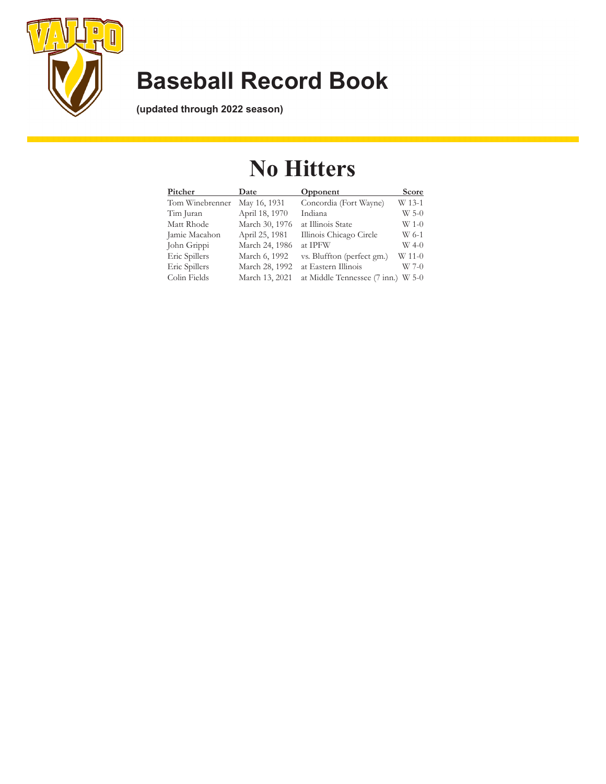

**(updated through 2022 season)**

### **No Hitters**

| Pitcher         | Date           | Opponent                           | Score   |
|-----------------|----------------|------------------------------------|---------|
| Tom Winebrenner | May 16, 1931   | Concordia (Fort Wayne)             | W 13-1  |
| Tim Juran       | April 18, 1970 | Indiana                            | $W$ 5-0 |
| Matt Rhode      | March 30, 1976 | at Illinois State                  | W 1-0   |
| Jamie Macahon   | April 25, 1981 | Illinois Chicago Circle            | W 6-1   |
| John Grippi     | March 24, 1986 | at IPFW                            | $W$ 4-0 |
| Eric Spillers   | March 6, 1992  | vs. Bluffton (perfect gm.)         | W 11-0  |
| Eric Spillers   | March 28, 1992 | at Eastern Illinois                | $W$ 7-0 |
| Colin Fields    | March 13, 2021 | at Middle Tennessee (7 inn.) W 5-0 |         |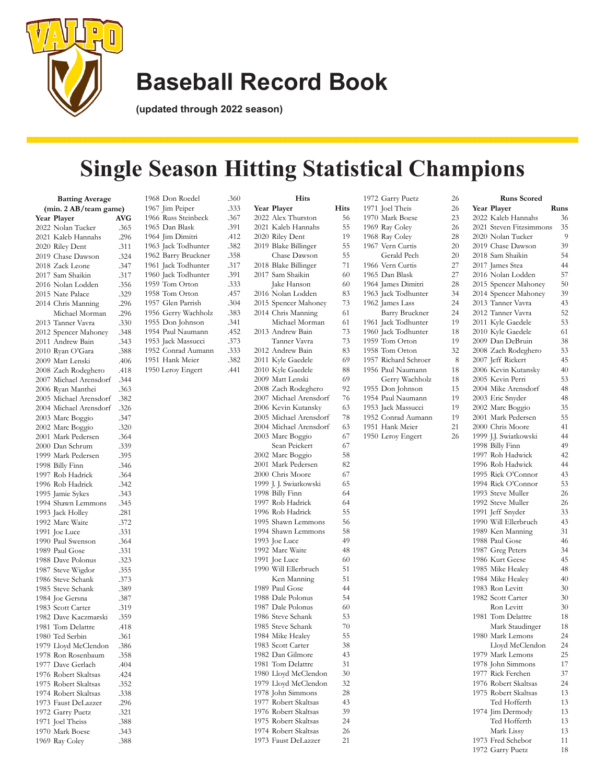

**(updated through 2022 season)**

# **Single Season Hitting Statistical Champions**

| <b>Batting Average</b> |                                           |              |  |
|------------------------|-------------------------------------------|--------------|--|
|                        | (min. 2 AB/team game)                     |              |  |
|                        | Year Player                               | <b>AVG</b>   |  |
|                        | 2022 Nolan Tucker                         | .365         |  |
|                        | 2021 Kaleb Hannahs                        | .296         |  |
|                        | 2020 Riley Dent                           | .311         |  |
|                        | 2019 Chase Dawson                         | .324         |  |
|                        | 2018 Zack Leone                           | .347         |  |
|                        | 2017 Sam Shaikin                          | .317         |  |
|                        | 2016 Nolan Lodden                         | .356         |  |
|                        | 2015 Nate Palace                          | .329         |  |
|                        | 2014 Chris Manning                        | .296         |  |
|                        | Michael Morman                            | .296         |  |
|                        | 2013 Tanner Vavra                         | .330         |  |
|                        | 2012 Spencer Mahoney                      | .348         |  |
|                        | 2011 Andrew Bain                          | .343         |  |
|                        | 2010 Ryan O'Gara                          | .388         |  |
|                        | 2009 Matt Lenski                          | .406         |  |
|                        | 2008 Zach Rodeghero                       | .418         |  |
|                        | 2007 Michael Arensdorf                    | .344         |  |
|                        | 2006 Ryan Manthei                         | .363         |  |
|                        | 2005 Michael Arensdorf                    | .382         |  |
|                        | 2004 Michael Arensdorf                    | .326         |  |
|                        | 2003 Marc Boggio                          | .347         |  |
|                        | 2002 Marc Boggio                          | .320         |  |
|                        | 2001 Mark Pedersen                        | .364         |  |
|                        | 2000 Dan Schrum                           | .339         |  |
|                        | 1999 Mark Pedersen                        | .395         |  |
|                        | 1998 Billy Finn                           | .346         |  |
|                        | 1997 Rob Hadrick                          | .364         |  |
| 1996                   | Rob Hadrick                               | .342         |  |
|                        | 1995 Jamie Sykes                          | .343         |  |
|                        | 1994 Shawn Lemmons                        | .345         |  |
|                        | 1993 Jack Holley                          | .281         |  |
|                        | 1992 Marc Waite                           | .372         |  |
| 1991                   | Joe Luce                                  | .331         |  |
|                        | 1990 Paul Swenson                         | .364         |  |
|                        |                                           | .331         |  |
|                        | 1989 Paul Gose<br>1988 Dave Polonus       | .323         |  |
|                        |                                           | .355         |  |
|                        | 1987 Steve Wigdor                         |              |  |
|                        | 1986 Steve Schank                         | .373         |  |
|                        | 1985 Steve Schank<br>1984 Joe Gersna      | .389         |  |
|                        | 1983 Scott Carter                         | .387<br>.319 |  |
|                        |                                           |              |  |
|                        | 1982 Dave Kaczmarski<br>1981 Tom Delattre | .359         |  |
|                        |                                           | .418         |  |
|                        | 1980 Ted Serbin                           | .361         |  |
|                        | 1979 Lloyd McClendon                      | .386         |  |
|                        | 1978 Ron Rosenbaum                        | .358         |  |
|                        | 1977 Dave Gerlach                         | .404         |  |
|                        | 1976 Robert Skaltsas                      | .424         |  |
|                        | 1975 Robert Skaltsas                      | .352         |  |
|                        | 1974 Robert Skaltsas                      | .338         |  |
|                        | 1973 Faust DeLazzer                       | .296         |  |
|                        | 1972 Garry Puetz                          | .321         |  |
|                        | 1971 Joel Theiss                          | .388         |  |
|                        | 1970 Mark Boese                           | .343         |  |
|                        | 1969 Ray Coley                            | .388         |  |

1968 Don Roedel 1967 Jim Peiper 1966 Russ Steinbeck 1965 Dan Blask 1964 Jim Dimitri 1963 Jack Todhunter 1962 Barry Bruckner 1961 Jack Todhunter 1960 Jack Todhunter 1959 Tom Orton 1958 Tom Orton 1957 Glen Parrish 1956 Gerry Wachholz 1955 Don Johnson 1954 Paul Naumann 1953 Jack Massucci 1952 Conrad Aumann 1951 Hank Meier 1950 Leroy Engert

| .360           |      | Hits                                      |          |
|----------------|------|-------------------------------------------|----------|
| .333           |      | Year Player                               | Hits     |
| <sub>367</sub> |      | 2022 Alex Thurston                        | 56       |
| 391            |      | 2021 Kaleb Hannahs                        | 55       |
| .412           |      | 2020 Riley Dent                           | 19       |
| .382           |      | 2019 Blake Billinger                      | 55       |
| .358           |      | Chase Dawson                              | 55       |
| .317           |      | 2018 Blake Billinger                      | 71       |
| 391            |      | 2017 Sam Shaikin                          | 60       |
| .333           |      | Jake Hanson                               | 60       |
| .457           | 2016 | Nolan Lodden                              | 83       |
| .304           |      | 2015 Spencer Mahoney                      | 73       |
| .383           |      | 2014 Chris Manning                        | 61       |
| .341           |      | Michael Morman                            | 61       |
| .452           |      | 2013 Andrew Bain                          | 73       |
| 373            |      | Tanner Vavra                              | 73       |
| .333           |      | 2012 Andrew Bain                          | 83       |
| 382            |      | 2011 Kyle Gaedele                         | 69       |
| .441           |      | 2010 Kyle Gaedele                         | 88       |
|                |      | 2009 Matt Lenski                          | 69       |
|                |      | 2008 Zach Rodeghero                       | 92       |
|                |      | 2007 Michael Arensdorf                    | 76       |
|                |      | 2006 Kevin Kutansky                       | 63       |
|                |      | 2005 Michael Arensdorf                    | 78       |
|                |      | 2004 Michael Arensdorf                    | 63       |
|                |      | 2003 Marc Boggio                          | 67       |
|                |      | Sean Peickert                             | 67       |
|                |      | 2002 Marc Boggio                          | 58       |
|                |      | 2001 Mark Pedersen                        | 82       |
|                |      | 2000 Chris Moore                          | 67       |
|                |      | 1999 J. J. Swiatkowski                    | 65       |
|                |      | 1998 Billy Finn                           | 64       |
|                |      | 1997 Rob Hadrick                          | 64       |
|                |      | 1996 Rob Hadrick                          | 55       |
|                |      | 1995 Shawn Lemmons                        | 56       |
|                |      | 1994 Shawn Lemmons                        | 58       |
|                |      | 1993 Joe Luce                             | 49       |
|                |      | 1992 Marc Waite                           | 48       |
|                |      | 1991 Joe Luce                             | 60       |
|                |      | 1990 Will Ellerbruch                      | 51       |
|                |      | Ken Manning                               | 51       |
|                |      | 1989 Paul Gose                            | 44       |
|                |      | 1988 Dale Polonus                         | 54       |
|                |      | 1987 Dale Polonus                         | 60       |
|                |      | 1986 Steve Schank                         | 53       |
|                |      | 1985 Steve Schank                         | 70       |
|                |      | 1984 Mike Healey                          | 55       |
|                |      | 1983 Scott Carter                         | 38       |
|                |      | 1982 Dan Gilmore                          | 43       |
|                |      | 1981 Tom Delattre                         | 31       |
|                |      | 1980 Lloyd McClendon                      | 30       |
|                |      | 1979 Lloyd McClendon<br>1978 John Simmons | 32<br>28 |
|                |      |                                           |          |

 Robert Skaltsas 43 Robert Skaltsas 39 Robert Skaltsas 24 Robert Skaltsas 26 Faust DeLazzer 21

|  | 1972 Garry Puetz     | 26 |
|--|----------------------|----|
|  | 1971 Joel Theis      | 26 |
|  | 1970 Mark Boese      | 23 |
|  | 1969 Ray Coley       | 26 |
|  | 1968 Ray Coley       | 28 |
|  | 1967 Vern Curtis     | 20 |
|  | Gerald Pech          | 20 |
|  | 1966 Vern Curtis     | 27 |
|  | 1965 Dan Blask       | 27 |
|  | 1964 James Dimitri   | 28 |
|  | 1963 Jack Todhunter  | 34 |
|  | 1962 James Lass      | 24 |
|  | Barry Bruckner       | 24 |
|  | 1961 Jack Todhunter  | 19 |
|  | 1960 Jack Todhunter  | 18 |
|  | 1959 Tom Orton       | 19 |
|  | 1958 Tom Orton       | 32 |
|  | 1957 Richard Schroer | 8  |
|  | 1956 Paul Naumann    | 18 |
|  | Gerry Wachholz       | 18 |
|  | 1955 Don Johnson     | 15 |
|  | 1954 Paul Naumann    | 19 |
|  | 1953 Jack Massucci   | 19 |
|  | 1952 Conrad Aumann   | 19 |
|  | 1951 Hank Meier      | 21 |
|  | 1950 Leroy Engert    | 26 |
|  |                      |    |
|  |                      |    |
|  |                      |    |
|  |                      |    |
|  |                      |    |
|  |                      |    |
|  |                      |    |
|  |                      |    |
|  |                      |    |
|  |                      |    |
|  |                      |    |
|  |                      |    |
|  |                      |    |
|  |                      |    |
|  |                      |    |
|  |                      |    |
|  |                      |    |
|  |                      |    |
|  |                      |    |
|  |                      |    |
|  |                      |    |
|  |                      |    |
|  |                      |    |
|  |                      |    |
|  |                      |    |
|  |                      |    |
|  |                      |    |

| 6                        | <b>Runs Scored</b>      |      |
|--------------------------|-------------------------|------|
| 6                        | Year Player             | Runs |
| 3                        | 2022 Kaleb Hannahs      | 36   |
| 6                        | 2021 Steven Fitzsimmons | 35   |
| 8                        | 2020 Nolan Tucker       | 9    |
| $\overline{0}$           | 2019 Chase Dawson       | 39   |
| 0                        | 2018 Sam Shaikin        | 54   |
| 7                        | 2017 James Stea         | 44   |
| 7                        | 2016 Nolan Lodden       | 57   |
| 8                        | 2015 Spencer Mahoney    | 50   |
| 4                        | 2014 Spencer Mahoney    | 39   |
| $\overline{\mathcal{L}}$ | 2013 Tanner Vavra       | 43   |
| 4                        | 2012 Tanner Vavra       | 52   |
| 9                        | 2011 Kyle Gaedele       | 53   |
| 8                        | 2010 Kyle Gaedele       | 61   |
| 9                        | 2009 Dan DeBruin        | 38   |
| $\overline{c}$           | 2008 Zach Rodeghero     | 53   |
| 8                        | 2007 Jeff Rickert       | 45   |
| 8                        | 2006 Kevin Kutansky     | 40   |
| 8                        | 2005 Kevin Perri        | 53   |
| 5                        | 2004 Mike Arensdorf     | 48   |
| 9                        | 2003 Eric Snyder        | 48   |
| 9                        | 2002 Marc Boggio        | 35   |
| 9                        | 2001 Mark Pedersen      | 55   |
| $\mathbf{1}$             | 2000 Chris Moore        | 41   |
| 6                        | 1999 J.J. Swiatkowski   | 44   |
|                          | 1998 Billy Finn         | 49   |
|                          | 1997 Rob Hadwick        | 42   |
|                          | 1996 Rob Hadwick        | 44   |
|                          | 1995 Rick O'Connor      | 43   |
|                          | 1994 Rick O'Connor      | 53   |
|                          | 1993 Steve Muller       | 26   |
|                          | 1992 Steve Muller       | 26   |
|                          | 1991 Jeff Snyder        | 33   |
|                          | 1990 Will Ellerbruch    | 43   |
|                          | 1989 Ken Manning        | 31   |
|                          | 1988 Paul Gose          | 46   |
|                          | 1987 Greg Peters        | 34   |
|                          | 1986 Kurt Geese         | 45   |
|                          | 1985 Mike Healey        | 48   |
|                          | 1984 Mike Healey        | 40   |
|                          | 1983 Ron Levitt         | 30   |
|                          | 1982 Scott Carter       | 30   |
|                          | Ron Levitt              | 30   |
|                          | 1981 Tom Delattre       | 18   |
|                          | Mark Staudinger         | 18   |
|                          | 1980 Mark Lemons        | 24   |
|                          | Lloyd McClendon         | 24   |
|                          | 1979 Mark Lemons        | 25   |
|                          | 1978 John Simmons       | 17   |
|                          | 1977 Rick Ferchen       | 37   |
|                          | 1976 Robert Skaltsas    | 24   |
|                          | 1975 Robert Skaltsas    | 13   |
|                          | Ted Hofferth            | 13   |
|                          | 1974 Jim Dermody        | 13   |
|                          | Ted Hofferth            | 13   |
|                          | Mark Lissy              | 13   |
|                          | 1973 Fred Schebor       | 11   |
|                          | 1972 Garry Puetz        | 18   |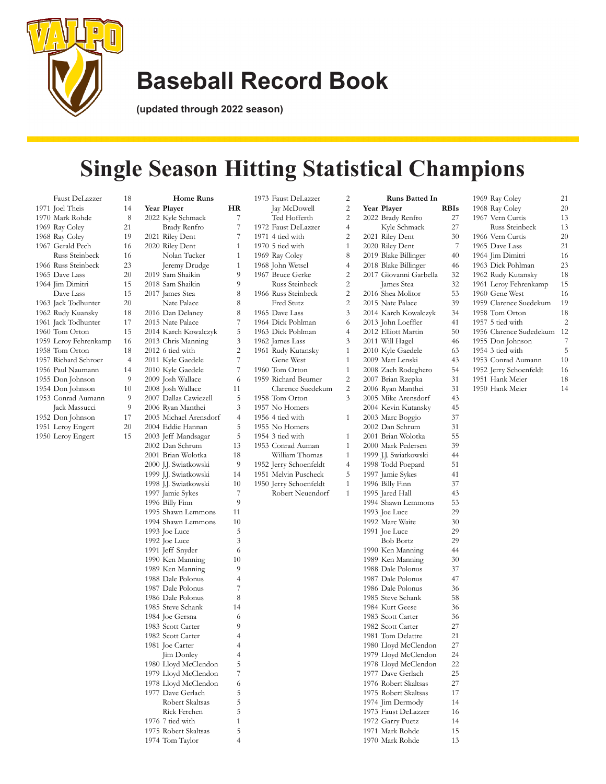

**(updated through 2022 season)**

## **Single Season Hitting Statistical Champions**

| Faust DeLazzer                | 18             |
|-------------------------------|----------------|
| 1971 Joel Theis               | 14             |
| 1970 Mark Rohde               | 8              |
| 1969 Ray Coley                | 21             |
| 1968 Ray Coley                | 19             |
| 1967 Gerald Pech              | 16             |
| Russ Steinbeck                | 16             |
| 1966 Russ Steinbeck           | 23             |
| 1965 Dave Lass                | 20             |
| 1964 Jim Dimitri              | 15             |
| Dave Lass                     | 15             |
| 1963 Jack Todhunter           | 20             |
| 1962 Rudy Kuansky             | 18             |
| 1961 Jack Todhunter           | 17             |
| 1960 Tom Orton                | 15             |
| 1959 Leroy Fehrenkamp         | 16             |
| 1958 Tom Orton                | 18             |
| 1957 Richard Schroer          | $\overline{4}$ |
| 1956 Paul Naumann             | 14             |
| 1955 Don Johnson              | 9              |
| 1954 Don Johnson              | 10             |
| 1953 Conrad Aumann            | 9              |
| Jack Massucci                 | 9              |
| 1952 Don Johnson              | 17             |
| $\mathbf{r}$ and $\mathbf{r}$ |                |

1951 Leroy Engert 20 Leroy Engert 15

| <b>Home Runs</b>                           |                |
|--------------------------------------------|----------------|
| Year Player                                | HR             |
| 2022 Kyle Schmack                          | 7              |
| Brady Renfro                               | 7              |
| 2021 Riley Dent                            | 7              |
| 2020 Riley Dent                            | 1              |
| Nolan Tucker                               | 1              |
| Jeremy Drudge                              | 1              |
| 2019 Sam Shaikin                           | 9              |
| 2018 Sam Shaikin                           | 9              |
| 2017 James Stea                            | 8              |
| Nate Palace                                | 8              |
| 2016 Dan Delaney                           | 8              |
| 2015 Nate Palace                           | 7              |
| 2014 Karch Kowalczyk                       | 5              |
| 2013 Chris Manning                         | 3              |
| 2012 6 tied with                           | $\overline{c}$ |
| 2011 Kyle Gaedele                          | 7              |
| 2010 Kyle Gaedele                          | 7              |
| 2009 Josh Wallace                          | 6              |
| 2008 Josh Wallace<br>2007 Dallas Cawiezell | 11             |
|                                            | 5              |
| 2006 Ryan Manthei                          | 3              |
| 2005 Michael Arensdorf                     | $\overline{4}$ |
| 2004 Eddie Hannan                          | 5              |
| 2003 Jeff Mandsagar                        | 5              |
| 2002 Dan Schrum                            | 13             |
| 2001 Brian Wolotka                         | 18             |
| 2000 J.J. Swiatkowski                      | 9              |
| 1999 J.J. Swiatkowski                      | 14<br>10       |
| 1998 J.J. Swiatkowski<br>1997 Jamie Sykes  | 7              |
| 1996 Billy Finn                            | 9              |
| 1995 Shawn Lemmons                         | 11             |
| 1994 Shawn Lemmons                         | 10             |
| 1993 Joe Luce                              | 5              |
| 1992 Joe Luce                              | 3              |
| 1991 Jeff Snyder                           | 6              |
| 1990 Ken Manning                           | 10             |
| 1989 Ken Manning                           | 9              |
| 1988 Dale Polonus                          | $\overline{4}$ |
| 1987 Dale Polonus                          | 7              |
| 1986 Dale Polonus                          | 8              |
| 1985 Steve Schank                          | 14             |
| 1984 Joe Gersna                            | 6              |
| 1983 Scott Carter                          | 9              |
| 1982 Scott Carter                          | $\overline{4}$ |
| 1981 Joe Carter                            | 4              |
| Jim Donley                                 | 4              |
| 1980 Lloyd McClendon                       | 5              |
| 1979 Lloyd McClendon                       | 7              |
| 1978 Lloyd McClendon                       | 6              |
| 1977 Dave Gerlach                          | 5              |
| Robert Skaltsas                            | 5              |
| Rick Ferchen                               | 5              |
| 1976 7 tied with                           | $\mathbf{1}$   |
| 1975 Robert Skaltsas                       | 5              |
| 1974 Tom Taylor                            | 4              |
|                                            |                |

| 1973 Faust DeLazzer                        | 2              |
|--------------------------------------------|----------------|
| Jay McDowell                               | $\overline{c}$ |
| Ted Hofferth                               | 2              |
| 1972 Faust DeLazzer                        | $\overline{4}$ |
| 1971 4 tied with                           | $\overline{c}$ |
| 1970 5 tied with                           | $\mathbf{1}$   |
|                                            |                |
| 1969 Ray Coley                             | 8              |
| 1968 John Wetsel<br>1967 Bruce Gerke       | 4              |
|                                            | $\overline{c}$ |
| Russ Steinbeck                             | $\overline{c}$ |
| 1966 Russ Steinbeck                        | $\overline{c}$ |
| Fred Stutz                                 | $\overline{c}$ |
| 1965 Dave Lass                             | 3              |
| 1964 Dick Pohlman                          | 6              |
|                                            | $\overline{4}$ |
| 1963 Dick Pohlman                          |                |
| 1962 James Lass                            | 3              |
| 1961 Rudy Kutansky                         | $\mathbf{1}$   |
| Gene West                                  | $\mathbf{1}$   |
| 1960 Tom Orton                             | $\mathbf{1}$   |
| 1959 Richard Beumer                        | $\overline{c}$ |
| Clarence Suedekum                          | $\overline{c}$ |
| 1958 Tom Orton                             | 3              |
| 1957 No Homers                             |                |
| 1956 4 tied with                           | 1              |
|                                            |                |
| 1955 No Homers                             |                |
| 1954 3 tied with                           | 1              |
| 1953 Conrad Auman                          | $\mathbf{1}$   |
| William Thomas                             | $\mathbf{1}$   |
| 1952 Jerry Schoenfeldt                     | $\overline{4}$ |
| 1951 Melvin Puscheck                       | 5              |
|                                            |                |
|                                            | $\mathbf{1}$   |
| 1950 Jerry Schoenfeldt<br>Robert Neuendorf | $\mathbf{1}$   |
|                                            |                |
|                                            |                |
|                                            |                |
|                                            |                |
|                                            |                |
|                                            |                |
|                                            |                |
|                                            |                |
|                                            |                |
|                                            |                |
|                                            |                |
|                                            |                |
|                                            |                |
|                                            |                |
|                                            |                |
|                                            |                |
|                                            |                |
|                                            |                |
|                                            |                |
|                                            |                |
|                                            |                |
|                                            |                |
|                                            |                |
|                                            |                |
|                                            |                |
|                                            |                |
|                                            |                |

|      | Runs Batted In                             |             |
|------|--------------------------------------------|-------------|
|      | Year Player                                | <b>RBIs</b> |
|      | 2022 Brady Renfro                          | 27          |
|      | Kyle Schmack                               | 27          |
|      | 2021 Riley Dent                            | 30          |
|      | 2020 Riley Dent                            | 7           |
|      | 2019 Blake Billinger                       | 40          |
|      | 2018 Blake Billinger                       | 46          |
|      | 2017 Giovanni Garbella                     | 32          |
|      | James Stea                                 | 32          |
|      | 2016 Shea Molitor                          | 53          |
|      | 2015 Nate Palace                           | 39          |
|      |                                            | 34          |
|      | 2014 Karch Kowalczyk<br>2013 John Loeffler |             |
|      | 2012 Elliott Martin                        | 41<br>50    |
|      | 2011 Will Hagel                            | 46          |
|      | 2010 Kyle Gaedele                          | 63          |
|      | 2009 Matt Lenski                           |             |
|      |                                            | 43          |
|      | 2008 Zach Rodeghero                        | 54          |
|      | 2007 Brian Rzepka                          | 31          |
|      | 2006 Ryan Manthei                          | 31          |
|      | 2005 Mike Arensdorf                        | 43          |
|      | 2004 Kevin Kutansky<br>2003 Marc Boggio    | 45          |
|      |                                            | 37          |
|      | 2002 Dan Schrum                            | 31          |
|      | 2001 Brian Wolotka                         | 55          |
|      | 2000 Mark Pedersen                         | 39          |
|      | 1999 J.J. Swiatkowski                      | 44          |
|      | 1998 Todd Poepard                          | 51          |
|      | 1997 Jamie Sykes                           | 41          |
|      | 1996 Billy Finn                            | 37          |
|      | 1995 Jared Hall                            | 43          |
|      | 1994 Shawn Lemmons                         | 53          |
|      | 1993 Joe Luce                              | 29          |
|      | 1992 Marc Waite                            | 30          |
|      | 1991 Joe Luce                              | 29          |
|      | <b>Bob Bortz</b>                           | 29          |
|      | 1990 Ken Manning                           | 44          |
|      | 1989 Ken Manning                           | 30          |
|      | 1988 Dale Polonus                          | 37          |
|      | 1987 Dale Polonus                          | 47          |
|      | 1986 Dale Polonus                          | 36          |
|      | 1985 Steve Schank                          | 58          |
|      | 1984 Kurt Geese                            | 36          |
|      | 1983 Scott Carter                          | 36          |
|      | 1982 Scott Carter                          | 27          |
| 1981 | Tom Delattre                               | 21          |
|      | 1980 Lloyd McClendon                       | 27          |
|      | 1979 Lloyd McClendon                       | 24          |
|      | 1978 Lloyd McClendon                       | 22          |
|      | 1977 Dave Gerlach                          | 25          |
|      | 1976 Robert Skaltsas                       | 27          |
|      | 1975 Robert Skaltsas                       | 17          |
|      | 1974 Jim Dermody                           | 14          |
|      | 1973 Faust DeLazzer                        | 16          |
|      | 1972 Garry Puetz                           | 14          |
|      | 1971 Mark Rohde                            | 15          |
|      | 1970 Mark Rohde                            | 13          |
|      |                                            |             |

|  | 1969 Ray Coley          | 21             |
|--|-------------------------|----------------|
|  | 1968 Ray Coley          | 20             |
|  | 1967 Vern Curtis        | 13             |
|  | Russ Steinbeck          | 13             |
|  | 1966 Vern Curtis        | 20             |
|  | 1965 Dave Lass          | 21             |
|  | 1964 Jim Dimitri        | 16             |
|  | 1963 Dick Pohlman       | 23             |
|  | 1962 Rudy Kutansky      | 18             |
|  | 1961 Leroy Fehrenkamp   | 15             |
|  | 1960 Gene West          | 16             |
|  | 1959 Clarence Suedekum  | 19             |
|  | 1958 Tom Orton          | 18             |
|  | 1957 5 tied with        | $\overline{2}$ |
|  | 1956 Clarence Sudedekum | 12             |
|  | 1955 Don Johnson        | 7              |
|  | 1954 3 tied with        | 5              |
|  | 1953 Conrad Aumann      | 10             |
|  | 1952 Jerry Schoenfeldt  | 16             |
|  | 1951 Hank Meier         | 18             |
|  | 1950 Hank Meier         | 14             |
|  |                         |                |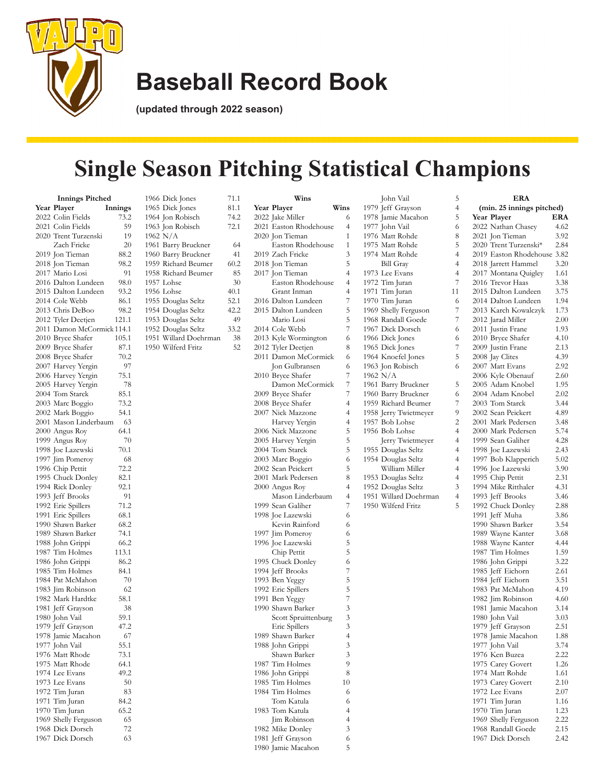

**(updated through 2022 season)**

## **Single Season Pitching Statistical Champions**

|      | <b>Innings Pitched</b>                  |         |
|------|-----------------------------------------|---------|
|      | Year Player                             | Innings |
|      | 2022 Colin Fields                       | 73.2    |
|      | 2021 Colin Fields                       | 59      |
|      | 2020 Trent Turzenski                    | 19      |
|      | Zach Fricke                             | 20      |
|      | 2019 Jon Tieman                         | 88.2    |
|      | 2018 Jon Tieman                         | 98.2    |
|      | 2017 Mario Losi                         | 91      |
|      |                                         |         |
|      | 2016 Dalton Lundeen                     | 98.0    |
|      | 2015 Dalton Lundeen                     | 93.2    |
|      | 2014 Cole Webb                          | 86.1    |
|      | 2013 Chris DeBoo                        | 98.2    |
|      | 2012 Tyler Deetjen                      | 121.1   |
|      | 2011 Damon McCormick 114.1              |         |
|      | 2010 Bryce Shafer                       | 105.1   |
|      | 2009 Bryce Shafer                       | 87.1    |
|      | 2008 Bryce Shafer<br>2007 Harvey Yergin | 70.2    |
|      |                                         | 97      |
|      | 2006 Harvey Yergin                      | 75.1    |
|      | 2005 Harvey Yergin                      | 78      |
|      | 2004 Tom Starck                         | 85.1    |
|      | 2003 Marc Boggio                        | 73.2    |
|      | 2002 Mark Boggio                        | 54.1    |
|      |                                         |         |
|      | 2001 Mason Linderbaum                   | 63      |
|      | 2000 Angus Roy                          | 64.1    |
|      | 1999 Angus Roy                          | 70      |
|      | 1998 Joe Lazewski                       | 70.1    |
|      | 1997 Jim Pomeroy                        | 68      |
|      | 1996 Chip Pettit                        | 72.2    |
|      | 1995 Chuck Donley                       | 82.1    |
|      | 1994 Rick Donley                        | 92.1    |
|      | 1993 Jeff Brooks                        | 91      |
|      | 1992 Eric Spillers                      | 71.2    |
|      | 1991 Eric Spillers                      | 68.1    |
|      | 1990 Shawn Barker                       | 68.2    |
|      | 1989 Shawn Barker                       | 74.1    |
|      | 1988 John Grippi                        | 66.2    |
|      | 1987 Tim Holmes                         | 113.1   |
|      | 1986 John Grippi                        | 86.2    |
|      | 1985 Tim Holmes                         | 84.1    |
|      |                                         |         |
|      | 1984 Pat McMahon                        | 70      |
|      | 1983 Jim Robinson                       | 62      |
|      | 1982 Mark Hardtke                       | 58.1    |
|      | 1981 Jeff Grayson                       | 38      |
|      | 1980 John Vail                          | 59.1    |
|      | 1979 Jeff Grayson                       | 47.2    |
|      |                                         | 67      |
|      | 1978 Jamie Macahon<br>1977 John Vail    | 55.1    |
|      | 1976 Matt Rhode                         | 73.1    |
|      | 1975 Matt Rhode                         | 64.1    |
|      | 1974 Lee Evans                          | 49.2    |
| 1973 | Lee Evans                               | 50      |
| 1972 | Tim Juran                               | 83      |
| 1971 | Tim Juran                               | 84.2    |
|      |                                         |         |
| 1970 | Tim Juran                               | 65.2    |
|      | 1969 Shelly Ferguson                    | 65      |
|      | 1968 Dick Dorsch                        | 72      |
| 1967 | Dick Dorsch                             | 63      |

| 1966 Dick Jones<br>1965 Dick Jones<br>1964 Jon Robisch<br>1963 Jon Robisch                                                                                                                                                                                                 | 71.1<br>81.1<br>74.2<br>72.1                                                   |
|----------------------------------------------------------------------------------------------------------------------------------------------------------------------------------------------------------------------------------------------------------------------------|--------------------------------------------------------------------------------|
| 1962 N/A<br>1961 Barry Bruckner<br>1960 Barry Bruckner<br>1959 Richard Beumer<br>1958 Richard Beumer<br>1957 Lohse<br>1956 Lohse<br>1955 Douglas Seltz<br>1954 Douglas Seltz<br>1953 Douglas Seltz<br>1952 Douglas Seltz<br>1951<br>Willard Doehrman<br>1950 Wilferd Fritz | 64<br>41<br>60.2<br>85<br>30<br>40.1<br>52.1<br>42.2<br>49<br>33.2<br>38<br>52 |
|                                                                                                                                                                                                                                                                            |                                                                                |
|                                                                                                                                                                                                                                                                            |                                                                                |
|                                                                                                                                                                                                                                                                            |                                                                                |

| Wins                                  |                | Jol                 |
|---------------------------------------|----------------|---------------------|
| Year Player                           | Wins           | 1979 Jef            |
| 2022 Jake Miller                      | 6              | 1978 Jar            |
| 2021 Easton Rhodehouse                | 4              | 1977 Jol            |
| 2020 Jon Tieman                       | 1              | 1976 Ma             |
| Easton Rhodehouse                     | 1              | 1975 Ma             |
| 2019 Zach Fricke                      | 3              | 1974 Ma             |
| 2018 Jon Tieman                       | 5              | Bil                 |
| 2017 Jon Tieman                       | 4              | 1973 Le             |
| Easton Rhodehouse                     | 4              | 1972 Tit            |
| Grant Inman                           | 4              | 1971 Ti             |
| 2016 Dalton Lundeen                   | 7              | 1970 Tit            |
| 2015 Dalton Lundeen                   | 5              | 1969 Sh             |
| Mario Losi                            | 5              | 1968 Ra             |
| 2014 Cole Webb                        | 7              | 1967 Di             |
| 2013 Kyle Wormington                  | 6              | 1966 Di             |
| 2012 Tyler Deetjen                    | 8              | 1965 Di             |
| 2011 Damon McCormick                  | 6              | 1964 Kr             |
| Jon Gulbransen                        | 6              | 1963 Jor            |
| 2010 Bryce Shafer                     | 7              | 1962 N/             |
| Damon McCormick                       | 7              | 1961 Ba             |
|                                       | 7              |                     |
| 2009 Bryce Shafer                     | 4              | 1960 Ba<br>1959 Rio |
| 2008 Bryce Shafer                     |                |                     |
| 2007 Nick Mazzone                     | 4              | 1958 Jer            |
| Harvey Yergin                         | 4              | 1957 Bo             |
| 2006 Nick Mazzone                     | 5              | 1956 Bo             |
| 2005 Harvey Yergin                    | 5              | Jer                 |
| 2004 Tom Starck                       | 5              | 1955 Do             |
| 2003 Marc Boggio                      | 6              | 1954 Do             |
| 2002 Sean Peickert                    | 5              | Wi                  |
| 2001 Mark Pedersen                    | 8              | 1953 Do             |
| 2000 Angus Roy                        | 4              | 1952 De             |
| Mason Linderbaum                      | 4<br>7         | 1951 Wi             |
| 1999 Sean Galiher                     |                | 1950 Wi             |
| 1998 Joe Lazewski                     | 6<br>6         |                     |
| Kevin Rainford                        | 6              |                     |
| 1997 Jim Pomeroy<br>1996 Joe Lazewski | 5              |                     |
| Chip Pettit                           | 5              |                     |
| 1995 Chuck Donley                     | 6              |                     |
|                                       | 7              |                     |
| 1994 Jeff Brooks<br>1993 Ben Yeggy    | 5              |                     |
| 1992 Eric Spillers                    | 5              |                     |
| 1991 Ben Yeggy                        | 7              |                     |
| 1990 Shawn Barker                     | 3              |                     |
| Scott Spruittenburg                   | 3              |                     |
| Eric Spillers                         | 3              |                     |
| 1989 Shawn Barker                     | $\overline{4}$ |                     |
| 1988 John Grippi                      | 3              |                     |
| Shawn Barker                          | 3              |                     |
| 1987 Tim Holmes                       | 9              |                     |
| 1986 John Grippi                      | 8              |                     |
| 1985 Tim Holmes                       | 10             |                     |
| 1984 Tim Holmes                       | 6              |                     |
| Tom Katula                            | 6              |                     |
| 1983 Tom Katula                       | 4              |                     |
| Jim Robinson                          | $\overline{4}$ |                     |
| 1982 Mike Donley                      | 3              |                     |
| 1981 Jeff Grayson                     | 6              |                     |

Jamie Macahon 5

|      | John Vail             | 5              |                  |
|------|-----------------------|----------------|------------------|
| 1979 | Jeff Grayson          | 4              |                  |
|      | 1978 Jamie Macahon    | 5              | Y                |
|      | 1977 John Vail        | 6              | 2(               |
|      | 1976 Matt Rohde       | 8              | 2(               |
|      | 1975 Matt Rohde       | 5              | 2(               |
|      | 1974 Matt Rohde       | 4              | 2(               |
|      | <b>Bill Gray</b>      | 4              | 2(               |
|      | 1973 Lee Evans        | $\overline{4}$ | 2(               |
|      | 1972 Tim Juran        | 7              | 2(               |
|      | 1971 Tim Juran        | 11             | $\overline{2}$ ( |
|      | 1970 Tim Juran        | 6              | 2(               |
|      | 1969 Shelly Ferguson  | 7              | 2(               |
|      | 1968 Randall Goede    | 7              | $\overline{2}$   |
|      | 1967 Dick Dorsch      | 6              | 2(               |
|      | 1966 Dick Jones       | 6              | 2(               |
|      | 1965 Dick Jones       | $\overline{7}$ | 2(               |
|      | 1964 Knoefel Jones    | 5              | 2(               |
|      | 1963 Jon Robisch      | 6              | 2(               |
|      | 1962 N/A              |                | 2(               |
|      | 1961 Barry Bruckner   | 5              | 2(               |
|      | 1960 Barry Bruckner   | 6              | 2(               |
|      | 1959 Richard Beumer   | 7              | 2(               |
|      | 1958 Jerry Twietmeyer | 9              | 2(               |
|      | 1957 Bob Lohse        | $\overline{c}$ | 2(               |
|      | 1956 Bob Lohse        | 4              | 2(               |
|      | Jerry Twietmeyer      | 4              | 19               |
|      | 1955 Douglas Seltz    | $\overline{4}$ | 19               |
|      | 1954 Douglas Seltz    | 4              | 19               |
|      | William Miller        | 4              | 19               |
|      | 1953 Douglas Seltz    | 4              | 19               |
|      | 1952 Douglas Seltz    | 3              | 19               |
|      | 1951 Willard Doehrman | $\overline{4}$ | 19               |
|      | 1950 Wilferd Fritz    | 5              | 19               |
|      |                       |                | 19               |
|      |                       |                | 19               |
|      |                       |                | 19               |
|      |                       |                | 19               |
|      |                       |                | 19               |
|      |                       |                | 19               |
|      |                       |                | 19               |
|      |                       |                | 19               |
|      |                       |                | 19               |
|      |                       |                | 19               |
|      |                       |                | 19               |
|      |                       |                | 19               |
|      |                       |                | 19               |
|      |                       |                | 19               |
|      |                       |                | 19               |
|      |                       |                | 19               |
|      |                       |                | 19               |
|      |                       |                | 19               |
|      |                       |                | 19               |
|      |                       |                | 19               |
|      |                       |                | 19               |
|      |                       |                |                  |

| <b>ERA</b>                               |             |
|------------------------------------------|-------------|
| (min. 25 innings pitched)                |             |
| Year Player                              | ERA         |
| 2022 Nathan Chasey                       | 4.62        |
| 2021 Jon Tieman                          | 3.92        |
| 2020 Trent Turzenski*                    | 2.84        |
| 2019 Easton Rhodehouse                   | 3.82        |
| 2018 Jarrett Hammel                      | <b>3.20</b> |
| 2017 Montana Quigley                     | 1.61        |
| 2016 Trevor Haas                         | 3.38        |
| 2015 Dalton Lundeen                      | 3.75        |
| 2014 Dalton Lundeen                      | 1.94        |
| 2013 Karch Kowalczyk                     | 1.73        |
| 2012 Jarad Miller                        | 2.00        |
| 2011 Justin Frane                        | 1.93        |
| 2010 Bryce Shafer                        | 4.10        |
| 2009 Justin Frane                        | 2.13        |
| 2008 Jay Clites                          | 4.39        |
| 2007 Matt Evans                          | 2.92        |
| 2006 Kyle Obenauf                        | 2.60        |
| 2005 Adam Knobel                         | 1.95        |
| 2004 Adam Knobel                         | 2.02        |
| 2003 Tom Starck                          | 3.44        |
| 2002 Sean Peickert                       | 4.89        |
| 2001 Mark Pedersen                       | 3.48        |
| 2000 Mark Pedersen                       | 5.74        |
| 1999 Sean Galiher                        | 4.28        |
|                                          | 2.43        |
| 1998 Joe Lazewski<br>1997 Bob Klapperich | 5.02        |
| 1996 Joe Lazewski                        | 3.90        |
| 1995 Chip Pettit                         | 2.31        |
| 1994 Mike Ritthaler                      | 4.31        |
| 1993 Jeff Brooks                         | 3.46        |
| 1992 Chuck Donley                        | 2.88        |
| 1991 Jeff Muha                           | 3.86        |
| 1990 Shawn Barker                        | 3.54        |
| 1989 Wayne Kanter                        | 3.68        |
| 1988 Wayne Kanter                        | 4.44        |
| 1987 Tim Holmes                          | 1.59        |
| 1986 John Grippi                         | 3.22        |
| 1985 Jeff Eichorn                        | 2.61        |
| 1984 Jeff Eichorn                        | 3.51        |
| 1983 Pat McMahon                         | 4.19        |
| 1982 Jim Robinson                        | 4.60        |
| 1981 Jamie Macahon                       | 3.14        |
| 1980 John Vail                           | 3.03        |
| 1979 Jeff Grayson                        | 2.51        |
| 1978 Jamie Macahon                       | 1.88        |
| 1977 John Vail                           | 3.74        |
| 1976 Ken Buzea                           | 2.22        |
| 1975 Carey Govert                        | 1.26        |
| 1974 Matt Rohde                          | 1.61        |
| 1973 Carey Govert                        | 2.10        |
| 1972 Lee Evans                           | 2.07        |
| 1971 Tim Juran                           | 1.16        |
| 1970 Tim Juran                           | 1.23        |
| 1969 Shelly Ferguson                     | 2.22        |
| 1968 Randall Goede                       | 2.15        |
| 1967 Dick Dorsch                         | 2.42        |
|                                          |             |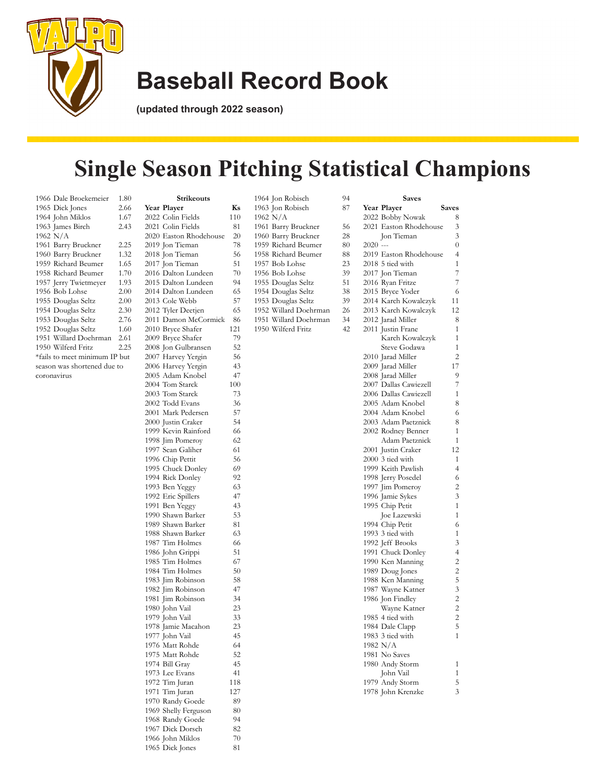

**(updated through 2022 season)**

## **Single Season Pitching Statistical Champions**

| 1966 Dale Broekemeier         | 1.80 |
|-------------------------------|------|
| 1965 Dick Jones               | 2.66 |
| 1964 John Miklos              | 1.67 |
| 1963 James Birch              | 2.43 |
| 1962 N/A                      |      |
| 1961 Barry Bruckner           | 2.25 |
| 1960 Barry Bruckner           | 1.32 |
| 1959 Richard Beumer           | 1.65 |
| 1958 Richard Beumer           | 1.70 |
| 1957 Jerry Twietmeyer         | 1.93 |
| 1956 Bob Lohse                | 2.00 |
| 1955 Douglas Seltz            | 2.00 |
| 1954 Douglas Seltz            | 2.30 |
| 1953 Douglas Seltz            | 2.76 |
| 1952 Douglas Seltz            | 1.60 |
| 1951 Willard Doehrman         | 2.61 |
| 1950 Wilferd Fritz            | 2.25 |
| *fails to meet minimum IP but |      |
| season was shortened due to   |      |
| coronavirus                   |      |
|                               |      |

| <b>Strikeouts</b>                      |          | 1964 Jon Ro  |
|----------------------------------------|----------|--------------|
| Year Player                            | Ks       | 1963 Jon Ro  |
| 2022 Colin Fields                      | 110      | 1962 N/A     |
| 2021 Colin Fields                      | 81       | 1961 Barry I |
| 2020 Easton Rhodehouse                 | 20       | 1960 Barry F |
| 2019 Jon Tieman                        | 78       | 1959 Richard |
| 2018 Jon Tieman                        | 56       | 1958 Richard |
| 2017 Jon Tieman                        | 51       | 1957 Bob Lo  |
| 2016 Dalton Lundeen                    | 70       | 1956 Bob Lo  |
| 2015 Dalton Lundeen                    | 94       | 1955 Dougla  |
| 2014 Dalton Lundeen                    | 65       | 1954 Dougla  |
| 2013 Cole Webb                         | 57       | 1953 Dougla  |
| 2012 Tyler Deetjen                     | 65       | 1952 Willard |
| 2011 Damon McCormick                   | 86       | 1951 Willard |
| 2010 Bryce Shafer                      | 121      | 1950 Wilferd |
| 2009 Bryce Shafer                      | 79       |              |
| 2008 Jon Gulbransen                    | 52       |              |
| 2007 Harvey Yergin                     | 56       |              |
| 2006 Harvey Yergin                     | 43       |              |
| 2005 Adam Knobel                       | 47       |              |
| 2004 Tom Starck                        | 100      |              |
| 2003 Tom Starck                        | 73       |              |
| 2002 Todd Evans                        | 36       |              |
| 2001 Mark Pedersen                     | 57       |              |
| 2000 Justin Craker                     | 54       |              |
| 1999 Kevin Rainford                    | 66       |              |
| 1998 Jim Pomeroy                       | 62       |              |
| 1997 Sean Galiher                      | 61       |              |
| 1996 Chip Pettit                       | 56       |              |
| 1995 Chuck Donley                      | 69       |              |
| 1994 Rick Donley                       | 92       |              |
| 1993 Ben Yeggy                         | 63       |              |
| 1992 Eric Spillers                     | 47       |              |
| 1991 Ben Yeggy                         | 43       |              |
| 1990 Shawn Barker<br>1989 Shawn Barker | 53<br>81 |              |
| 1988 Shawn Barker                      | 63       |              |
| 1987 Tim Holmes                        | 66       |              |
| 1986 John Grippi                       | 51       |              |
| 1985 Tim Holmes                        | 67       |              |
| 1984 Tim Holmes                        | 50       |              |
| 1983 Jim Robinson                      | 58       |              |
| 1982 Jim Robinson                      | 47       |              |
| 1981 Jim Robinson                      | 34       |              |
| 1980 John Vail                         | 23       |              |
| 1979 John Vail                         | 33       |              |
| 1978 Jamie Macahon                     | 23       |              |
| 1977 John Vail                         | 45       |              |
| 1976 Matt Rohde                        | 64       |              |
| 1975 Matt Rohde                        | 52       |              |
| 1974 Bill Gray                         | 45       |              |
| 1973 Lee Evans                         | 41       |              |
| 1972 Tim Juran                         | 118      |              |
| 1971 Tim Juran                         | 127      |              |
| 1970 Randy Goede                       | 89       |              |
| 1969 Shelly Ferguson                   | 80       |              |
| 1968 Randy Goede                       | 94       |              |
| 1967 Dick Dorsch                       | 82       |              |
| 1966 John Miklos                       | 70       |              |
| 1965 Dick Jones                        | 81       |              |
|                                        |          |              |

| 1964 Jon Robisch      | 94 | <b>Saves</b>           |                |
|-----------------------|----|------------------------|----------------|
| 1963 Jon Robisch      | 87 | Year Player<br>Saves   |                |
| 1962 N/A              |    | 2022 Bobby Nowak       | 8              |
| 1961 Barry Bruckner   | 56 | 2021 Easton Rhodehouse | 3              |
| 1960 Barry Bruckner   | 28 | Jon Tieman             | 3              |
| 1959 Richard Beumer   | 80 | $2020$ ---             | $\overline{0}$ |
| 1958 Richard Beumer   | 88 | 2019 Easton Rhodehouse | $\overline{4}$ |
| 1957 Bob Lohse        | 23 | 2018 5 tied with       | 1              |
| 1956 Bob Lohse        | 39 | 2017 Jon Tieman        | $\overline{7}$ |
| 1955 Douglas Seltz    | 51 | 2016 Ryan Fritze       | 7              |
| 1954 Douglas Seltz    | 38 | 2015 Bryce Yoder       | 6              |
| 1953 Douglas Seltz    | 39 | 2014 Karch Kowalczyk   | 11             |
| 1952 Willard Doehrman | 26 | 2013 Karch Kowalczyk   | 12             |
| 1951 Willard Doehrman | 34 | 2012 Jarad Miller      | 8              |
| 1950 Wilferd Fritz    | 42 | 2011 Justin Frane      | 1              |
|                       |    | Karch Kowalczyk        | $\mathbf{1}$   |
|                       |    | Steve Godawa           | $\mathbf{1}$   |
|                       |    | 2010 Jarad Miller      | $\overline{2}$ |
|                       |    | 2009 Jarad Miller      | 17             |
|                       |    | 2008 Jarad Miller      | 9              |
|                       |    | 2007 Dallas Cawiezell  | 7              |
|                       |    | 2006 Dallas Cawiezell  | $\mathbf{1}$   |
|                       |    | 2005 Adam Knobel       | 8              |
|                       |    | 2004 Adam Knobel       | 6              |
|                       |    | 2003 Adam Paetznick    | 8              |
|                       |    | 2002 Rodney Benner     | $\mathbf{1}$   |
|                       |    | Adam Paetznick         | 1              |
|                       |    | 2001 Justin Craker     | 12             |
|                       |    | 2000 3 tied with       | $\mathbf{1}$   |
|                       |    | 1999 Keith Pawlish     | $\overline{4}$ |
|                       |    | 1998 Jerry Posedel     | 6              |
|                       |    | 1997 Jim Pomeroy       | $\overline{c}$ |
|                       |    | 1996 Jamie Sykes       | 3              |
|                       |    | 1995 Chip Petit        | $\mathbf{1}$   |
|                       |    | Joe Lazewski           | 1              |
|                       |    | 1994 Chip Petit        | 6              |
|                       |    | 1993 3 tied with       | $\mathbf{1}$   |
|                       |    | 1992 Jeff Brooks       | 3              |
|                       |    | 1991 Chuck Donley      | $\overline{4}$ |
|                       |    | 1990 Ken Manning       | $\overline{c}$ |
|                       |    | 1989 Doug Jones        | $\overline{2}$ |
|                       |    | 1988 Ken Manning       | 5              |
|                       |    | 1987 Wayne Katner      | 3              |
|                       |    | 1986 Jon Findley       | $\overline{c}$ |
|                       |    | Wayne Katner           | $\overline{c}$ |
|                       |    | 1985 4 tied with       | $\overline{c}$ |
|                       |    | 1984 Dale Clapp        | 5              |
|                       |    | 1983 3 tied with       | 1              |
|                       |    | 1982 N/A               |                |
|                       |    | 1981 No Saves          |                |
|                       |    | 1980 Andy Storm        | $\mathbf{1}$   |
|                       |    | John Vail              | 1              |
|                       |    | 1979 Andy Storm        | 5              |
|                       |    | 1978 John Krenzke      | 3              |
|                       |    |                        |                |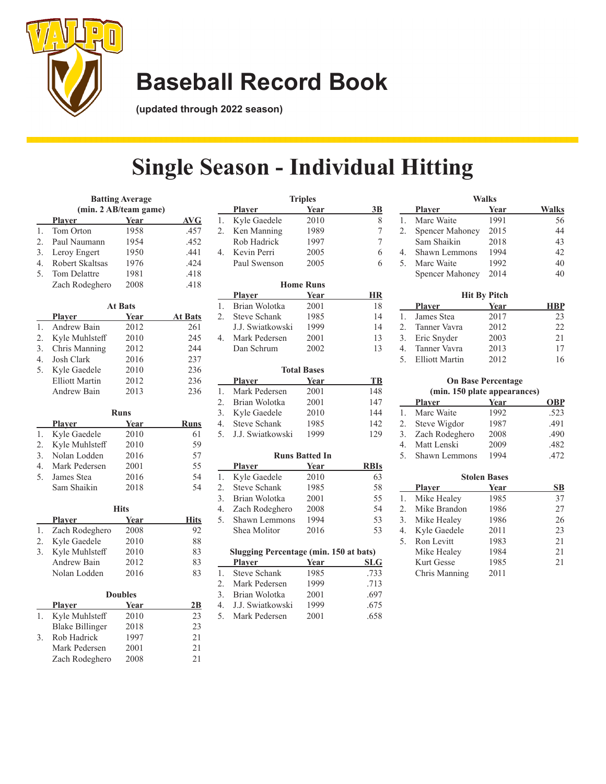

**(updated through 2022 season)**

## **Single Season - Individual Hitting**

**Triples**

|                  |                        | <b>Batting Average</b> |                |
|------------------|------------------------|------------------------|----------------|
|                  | (min. 2 AB/team game)  |                        |                |
|                  | <b>Player</b>          | Year                   | <b>AVG</b>     |
| 1.               | Tom Orton              | 1958                   | .457           |
| 2.               | Paul Naumann           | 1954                   | .452           |
| 3.               | Leroy Engert           | 1950                   | .441           |
| 4.               | Robert Skaltsas        | 1976                   | .424           |
| 5.               | Tom Delattre           | 1981                   | .418           |
|                  | Zach Rodeghero         | 2008                   | .418           |
|                  |                        | <b>At Bats</b>         |                |
|                  | <b>Player</b>          | Year                   | <u>At Bats</u> |
| 1.               | Andrew Bain            | 2012                   | 261            |
| $\overline{2}$ . | Kyle Muhlsteff         | 2010                   | 245            |
| 3.               | Chris Manning          | 2012                   | 244            |
| 4.               | Josh Clark             | 2016                   | 237            |
| 5.               | Kyle Gaedele           | 2010                   | 236            |
|                  | <b>Elliott Martin</b>  | 2012                   | 236            |
|                  | Andrew Bain            | 2013                   | 236            |
|                  |                        | <b>Runs</b>            |                |
|                  | <u>Player</u>          | Year                   | <b>Runs</b>    |
| 1.               | Kyle Gaedele           | 2010                   | 61             |
| 2.               | Kyle Muhlsteff         | 2010                   | 59             |
| 3.               | Nolan Lodden           | 2016                   | 57             |
| 4.               | Mark Pedersen          | 2001                   | 55             |
| 5.               | James Stea             | 2016                   | 54             |
|                  | Sam Shaikin            | 2018                   | 54             |
|                  |                        | <b>Hits</b>            |                |
|                  | <u>Player</u>          | <u>Year</u>            | <b>Hits</b>    |
| 1.               | Zach Rodeghero         | 2008                   | 92             |
| 2.               | Kyle Gaedele           | 2010                   | 88             |
| 3.               | Kyle Muhlsteff         | 2010                   | 83             |
|                  | Andrew Bain            | 2012                   | 83             |
|                  | Nolan Lodden           | 2016                   | 83             |
|                  |                        |                        |                |
|                  |                        | <b>Doubles</b>         |                |
|                  | <u>Plaver</u>          | <b>Year</b>            | 2B             |
| 1.               | Kyle Muhlsteff         | 2010                   | 23             |
|                  | <b>Blake Billinger</b> | 2018                   | 23             |
| 3.               | Rob Hadrick            | 1997                   | 21             |
|                  | Mark Pedersen          | 2001                   | 21             |
|                  | Zach Rodeghero         | 2008                   | 21             |

|    | <b>Player</b>         | Year                  | 3B             |
|----|-----------------------|-----------------------|----------------|
| 1. | Kyle Gaedele          | 2010                  | 8              |
| 2. | Ken Manning           | 1989                  | 7              |
|    | Rob Hadrick           | 1997                  | $\overline{7}$ |
| 4. | Kevin Perri           | 2005                  | 6              |
|    | Paul Swenson          | 2005                  | 6              |
|    |                       | <b>Home Runs</b>      |                |
|    | Player Year           |                       | HR             |
| 1. | Brian Wolotka         | 2001                  | 18             |
| 2. | Steve Schank          | 1985                  | 14             |
|    | J.J. Swiatkowski 1999 |                       | 14             |
| 4. | Mark Pedersen         | 2001                  | 13             |
|    | Dan Schrum            | 2002                  | 13             |
|    |                       | <b>Total Bases</b>    |                |
|    | Player Year           |                       | TB             |
| 1. | Mark Pedersen         | 2001                  | 148            |
| 2. | Brian Wolotka         | 2001                  | 147            |
| 3. | Kyle Gaedele 2010     |                       | 144            |
|    | 4. Steve Schank       | 1985                  | 142            |
| 5. | J.J. Swiatkowski 1999 |                       | 129            |
|    |                       | <b>Runs Batted In</b> |                |
|    | Player Year           |                       | <b>RBIs</b>    |
| 1. | Kyle Gaedele          | 2010                  | 63             |
| 2. | Steve Schank 1985     |                       | 58             |
| 3. | Brian Wolotka         | 2001                  | 55             |
| 4. | Zach Rodeghero        | 2008                  | 54             |

| Slugging Percentage (min. 150 at bats) |
|----------------------------------------|
|----------------------------------------|

5. Shawn Lemmons 1994 53 Shea Molitor 2016 53

|               | Player              | Year | <b>SLG</b> |
|---------------|---------------------|------|------------|
| $\mathbf{1}$  | <b>Steve Schank</b> | 1985 | .733       |
| $\mathcal{P}$ | Mark Pedersen       | 1999 | .713       |
|               | 3. Brian Wolotka    | 2001 | .697       |
|               | 4. J.J. Swiatkowski | 1999 | .675       |
|               | 5. Mark Pedersen    | 2001 | .658       |
|               |                     |      |            |

|    |                 | Walks               |              |
|----|-----------------|---------------------|--------------|
|    | <b>Player</b>   | Year                | <b>Walks</b> |
| 1. | Marc Waite      | 1991                | 56           |
| 2. | Spencer Mahoney | 2015                | 44           |
|    | Sam Shaikin     | 2018                | 43           |
| 4. | Shawn Lemmons   | 1994                | 42           |
| 5. | Marc Waite      | 1992                | 40           |
|    | Spencer Mahoney | 2014                | 40           |
|    |                 | <b>Hit By Pitch</b> |              |
|    | <b>Player</b>   | Year                | HBP          |
| 1. | James Stea      | 2017                | 23           |

| 1. James Stea     | 2017 | 23  |
|-------------------|------|-----|
| 2. Tanner Vavra   | 2012 | 22. |
| 3. Eric Snyder    | 2003 | 21  |
| 4. Tanner Vavra   | 2013 | 17  |
| 5. Elliott Martin | 2012 | 16  |

#### **On Base Percentage (min. 150 plate appearances)**

|    | <b>Player</b>     | Year | <b>OBP</b> |
|----|-------------------|------|------------|
| 1. | Marc Waite        | 1992 | .523       |
| 2. | Steve Wigdor      | 1987 | .491       |
|    | 3. Zach Rodeghero | 2008 | .490       |
| 4. | Matt Lenski       | 2009 | .482       |
|    | 5. Shawn Lemmons  | 1994 | .472       |

|    |               | <b>Stolen Bases</b> |    |
|----|---------------|---------------------|----|
|    | <b>Player</b> | Year                | SВ |
| 1. | Mike Healey   | 1985                | 37 |
| 2. | Mike Brandon  | 1986                | 27 |
| 3. | Mike Healey   | 1986                | 26 |
| 4. | Kyle Gaedele  | 2011                | 23 |
| 5. | Ron Levitt    | 1983                | 21 |
|    | Mike Healey   | 1984                | 21 |
|    | Kurt Gesse    | 1985                | 21 |
|    | Chris Manning | 2011                |    |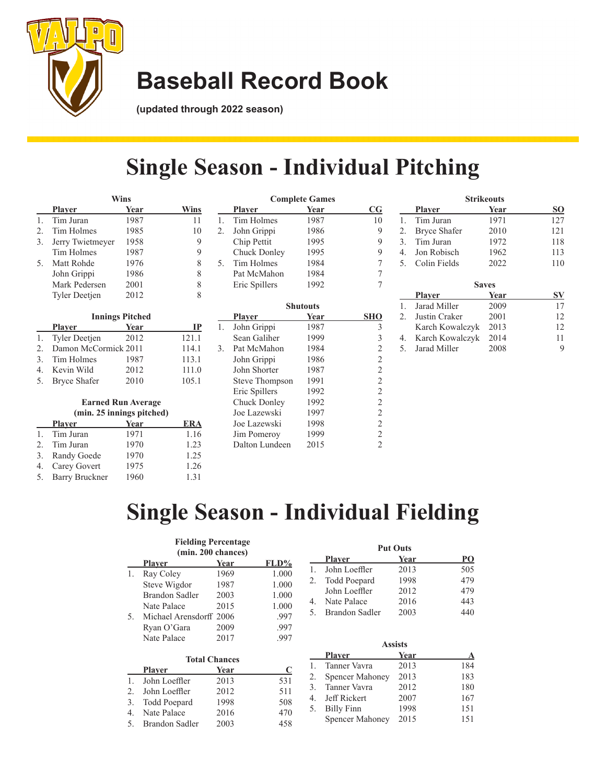

**(updated through 2022 season)**

### **Single Season - Individual Pitching**

**Complete Games**

|    |                      | Wins |      |
|----|----------------------|------|------|
|    | <b>Player</b>        | Year | Wins |
|    | Tim Juran            | 1987 | 11   |
| 2. | Tim Holmes           | 1985 | 10   |
| 3. | Jerry Twietmeyer     | 1958 |      |
|    | Tim Holmes           | 1987 |      |
| 5. | Matt Rohde           | 1976 | 8    |
|    | John Grippi          | 1986 | 8    |
|    | Mark Pedersen        | 2001 | 8    |
|    | <b>Tyler Deetjen</b> | 2012 |      |

|         | <b>Innings Pitched</b> |      |       |  |  |
|---------|------------------------|------|-------|--|--|
|         | <b>Player</b>          | Year | ГР    |  |  |
| 1.      | Tyler Deetjen          | 2012 | 121.1 |  |  |
| $2^{1}$ | Damon McCormick 2011   |      | 114.1 |  |  |
|         | 3. Tim Holmes          | 1987 | 113.1 |  |  |
|         | 4. Kevin Wild          | 2012 | 111.0 |  |  |
|         | 5. Bryce Shafer        | 2010 | 105.1 |  |  |

#### **Earned Run Average (min. 25 innings pitched)**

| <b>Player</b>     | Year | <b>ERA</b> |
|-------------------|------|------------|
| 1. Tim Juran      | 1971 | 1.16       |
| 2. Tim Juran      | 1970 | 1.23       |
| 3. Randy Goede    | 1970 | 1.25       |
| 4. Carey Govert   | 1975 | 1.26       |
| 5. Barry Bruckner | 1960 | 1.31       |

|    | <u>Plaver</u>         | <u>Year</u>     | $\mathbf{C}\mathbf{G}$  |
|----|-----------------------|-----------------|-------------------------|
| 1. | Tim Holmes            | 1987            | 10                      |
| 2. | John Grippi           | 1986            | 9                       |
|    | Chip Pettit           | 1995            | 9                       |
|    | Chuck Donley          | 1995            | 9                       |
| 5. | Tim Holmes            | 1984            | 7                       |
|    | Pat McMahon           | 1984            | 7                       |
|    | Eric Spillers         | 1992            | 7                       |
|    |                       | <b>Shutouts</b> |                         |
|    | <u>Player</u>         | Year            | <b>SHO</b>              |
| 1. | John Grippi           | 1987            | 3                       |
|    | Sean Galiher          | 1999            | $\overline{\mathbf{3}}$ |
| 3. | Pat McMahon           | 1984            | $\overline{c}$          |
|    | John Grippi           | 1986            | $\overline{c}$          |
|    | John Shorter          | 1987            | $\overline{2}$          |
|    | <b>Steve Thompson</b> | 1991            | $\overline{c}$          |
|    | Eric Spillers         | 1992            | $\sqrt{2}$              |
|    | Chuck Donley          | 1992            | $\overline{c}$          |
|    | Joe Lazewski          | 1997            | $\sqrt{2}$              |
|    | Joe Lazewski          | 1998            | $\overline{2}$          |
|    | Jim Pomeroy           | 1999            | $\overline{2}$          |
|    | Dalton Lundeen        | 2015            | $\overline{c}$          |

|                  |                     | <b>Strikeouts</b> |     |
|------------------|---------------------|-------------------|-----|
|                  | <b>Player</b>       | Year              | SO  |
| 1.               | Tim Juran           | 1971              | 127 |
| 2.               | <b>Bryce Shafer</b> | 2010              | 121 |
| 3.               | Tim Juran           | 1972              | 118 |
| $\overline{4}$ . | Jon Robisch         | 1962              | 113 |
| 5.               | Colin Fields        | 2022              | 110 |
|                  |                     |                   |     |
|                  |                     |                   |     |
|                  |                     | <b>Saves</b>      |     |
|                  | <b>Player</b>       | Year              | SV  |
| 1.               | Jarad Miller        | 2009              | 17  |
| 2.5              | Justin Craker       | 2001              | 12  |
|                  | Karch Kowalczyk     | 2013              | 12  |
| 4.               | Karch Kowalczyk     | 2014              | 11  |

### **Single Season - Individual Fielding**

#### **Fielding Percentage (min. 200 chances)**

|                | THILL, ZUU CHAIRCS)     |      |       |  |
|----------------|-------------------------|------|-------|--|
|                | <b>Player</b>           | Year | FLD%  |  |
| 1.             | Ray Coley               | 1969 | 1.000 |  |
|                | Steve Wigdor            | 1987 | 1.000 |  |
|                | Brandon Sadler          | 2003 | 1.000 |  |
|                | Nate Palace             | 2015 | 1.000 |  |
| 5.             | Michael Arensdorff 2006 |      | .997  |  |
|                | Ryan O'Gara             | 2009 | .997  |  |
|                | Nate Palace             | 2017 | .997  |  |
|                | <b>Total Chances</b>    |      |       |  |
|                | <b>Player</b>           | Year | C     |  |
| $\mathbf{1}$ . | John Loeffler           | 2013 | 531   |  |
| $\mathfrak{D}$ | John Loeffler           | 2012 | 511   |  |

3. Todd Poepard 1998 508 4. Nate Palace 2016 470 5. Brandon Sadler 2003 458

|    |                     | <b>Put Outs</b> |     |
|----|---------------------|-----------------|-----|
|    | <b>Player</b>       | Year            | PО  |
|    | John Loeffler       | 2013            | 505 |
| 2. | <b>Todd Poepard</b> | 1998            | 479 |
|    | John Loeffler       | 2012            | 479 |
|    | Nate Palace         | 2016            | 443 |
| 5  | Brandon Sadler      | 2003            | 440 |

|             |                        | <b>Assists</b> |     |
|-------------|------------------------|----------------|-----|
|             | <b>Player</b>          | Year           |     |
| 1.          | Tanner Vavra           | 2013           | 184 |
| 2.          | <b>Spencer Mahoney</b> | 2013           | 183 |
| 3.          | Tanner Vavra           | 2012           | 180 |
| $4_{\cdot}$ | Jeff Rickert           | 2007           | 167 |
| 5.          | <b>Billy Finn</b>      | 1998           | 151 |
|             | <b>Spencer Mahoney</b> | 2015           | 151 |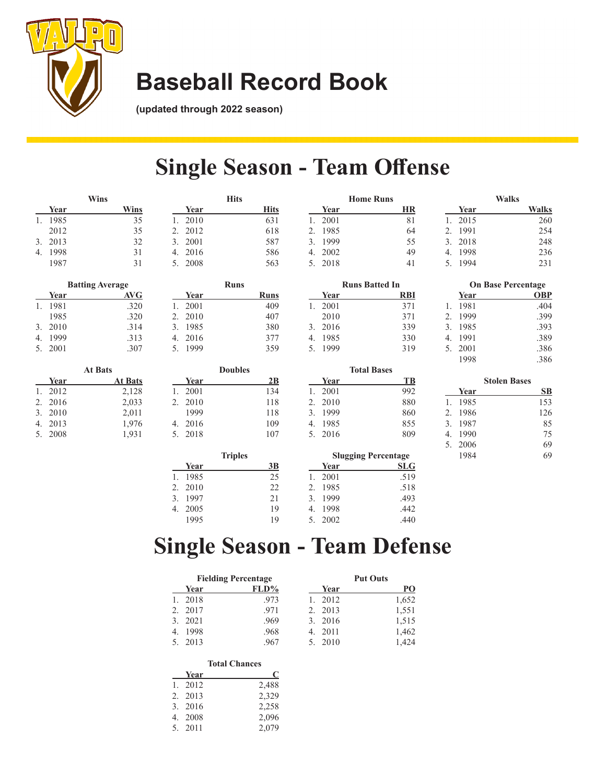

**(updated through 2022 season)**

### **Single Season - Team Offense**

|         | Wins                   |            | <b>Hits</b> | <b>Home Runs</b>      |    |            | Walks                     |
|---------|------------------------|------------|-------------|-----------------------|----|------------|---------------------------|
| Year    | Wins                   | Year       | <b>Hits</b> | Year                  | HR | Year       | <b>Walks</b>              |
| 1. 1985 | 35                     | 2010       | 631         | 2001                  | 81 | 2015       | 260                       |
| 2012    | 35                     | 2012       | 618         | 1985                  | 64 | 1991       | 254                       |
| 3. 2013 | 32                     | 2001<br>3. | 587         | 3. 1999               | 55 | 3. 2018    | 248                       |
| 4. 1998 | 31                     | 2016<br>4. | 586         | 4. 2002               | 49 | 1998<br>4. | 236                       |
| 1987    | 31                     | 2008       | 563         | 5. 2018               | 41 | 5. 1994    | 231                       |
|         | <b>Batting Average</b> |            | <b>Runs</b> | <b>Runs Batted In</b> |    |            | <b>On Base Percentage</b> |

|                             | Datumg Average |      |  |
|-----------------------------|----------------|------|--|
|                             | Year           | AVG  |  |
|                             | 1981           | .320 |  |
|                             | 1985           | .320 |  |
| $\mathcal{F}_{\mathcal{F}}$ | 2010           | .314 |  |
| 4                           | 1999           | .313 |  |
|                             | 5. 2001        | .307 |  |
|                             |                |      |  |

| <b>At Bats</b> |         |                |  |
|----------------|---------|----------------|--|
|                | Year    | <b>At Bats</b> |  |
|                | 1. 2012 | 2,128          |  |
|                | 2. 2016 | 2,033          |  |
|                | 3. 2010 | 2,011          |  |
|                | 4. 2013 | 1,976          |  |
|                | 5. 2008 | 1,931          |  |

|         | <b>Runs</b> |      |
|---------|-------------|------|
| Year    |             | Runs |
| 1. 2001 |             | 409  |
| 2. 2010 |             | 407  |
| 3. 1985 |             | 380  |
| 4. 2016 |             | 377  |
| 5. 1999 |             | 359  |
|         |             |      |

|         | <b>Doubles</b> |     |
|---------|----------------|-----|
| Year    |                | 2В  |
| 1. 2001 |                | 134 |
| 2. 2010 |                | 118 |
| 1999    |                | 118 |
| 4. 2016 |                | 109 |
| 5. 2018 |                | 107 |
|         |                |     |

|         | <b>Runs Batted In</b> |
|---------|-----------------------|
| Year    | <b>RBI</b>            |
| 1. 2001 | 371                   |
| 2010    | 371                   |
| 3. 2016 | 339                   |
| 4. 1985 | 330                   |
| 5. 1999 | 319                   |
|         |                       |

|         | <b>Total Bases</b> |     |
|---------|--------------------|-----|
| Year    |                    | TВ  |
| 1. 2001 |                    | 992 |
| 2. 2010 |                    | 880 |
| 3. 1999 |                    | 860 |
| 4. 1985 |                    | 855 |
| 5. 2016 |                    | 809 |
|         |                    |     |

|              |      | waiks        |  |
|--------------|------|--------------|--|
|              | Year | <b>Walks</b> |  |
|              | 2015 | 260          |  |
| $\mathbf{C}$ | 1991 | 254          |  |
| }.           | 2018 | 248          |  |
| ŀ.           | 1998 | 236          |  |
| $5^{\circ}$  | 1994 | 231          |  |
|              |      |              |  |

|    | <b>On Base Percentage</b> |            |
|----|---------------------------|------------|
|    | Year                      | <b>OBP</b> |
| 1. | 1981                      | .404       |
|    | 2. 1999                   | .399       |
|    | 3. 1985                   | .393       |
| 4. | 1991                      | .389       |
|    | 5. 2001                   | .386       |
|    | 1998                      | .386       |

|                |         | <b>Stolen Bases</b> |     |
|----------------|---------|---------------------|-----|
|                | Year    |                     | SВ  |
| $\mathbf{1}$ . | 1985    |                     | 153 |
| $2^{+}$        | 1986    |                     | 126 |
|                | 3. 1987 |                     | 85  |
| 4.             | 1990    |                     | 75  |
|                | 5. 2006 |                     | 69  |
|                | 1984    |                     | 69  |

| <b>Triples</b> |      |    | <b>Slugging Percentage</b> |            |
|----------------|------|----|----------------------------|------------|
|                | Year | 3B | Year                       | <b>SLG</b> |
|                | 1985 | 25 | 2001                       | .519       |
|                | 2010 | 22 | 1985                       | .518       |
| 3.             | 1997 | 21 | 1999                       | .493       |
|                | 2005 | 19 | 1998                       | .442       |
|                | 1995 | 19 | 2002                       | .440       |

### **Single Season - Team Defense**

| <b>Fielding Percentage</b> |      | <b>Put Outs</b> |       |
|----------------------------|------|-----------------|-------|
| Year                       | FLD% | Year            | PО    |
| 2018                       | .973 | 2012            | 1,652 |
| 2017                       | .971 | 2. 2013         | 1,551 |
| 2021<br>3                  | .969 | 3. 2016         | 1,515 |
| 1998                       | .968 | 4. 2011         | 1,462 |
| 2013                       | .967 | 2010<br>5.      | 1.424 |

| <b>Total Chances</b> |       |  |
|----------------------|-------|--|
| Year                 | C     |  |
| 1. 2012              | 2,488 |  |
| 2. 2013              | 2,329 |  |
| 3. 2016              | 2,258 |  |
| 4. 2008              | 2,096 |  |
| 5. 2011              | 2,079 |  |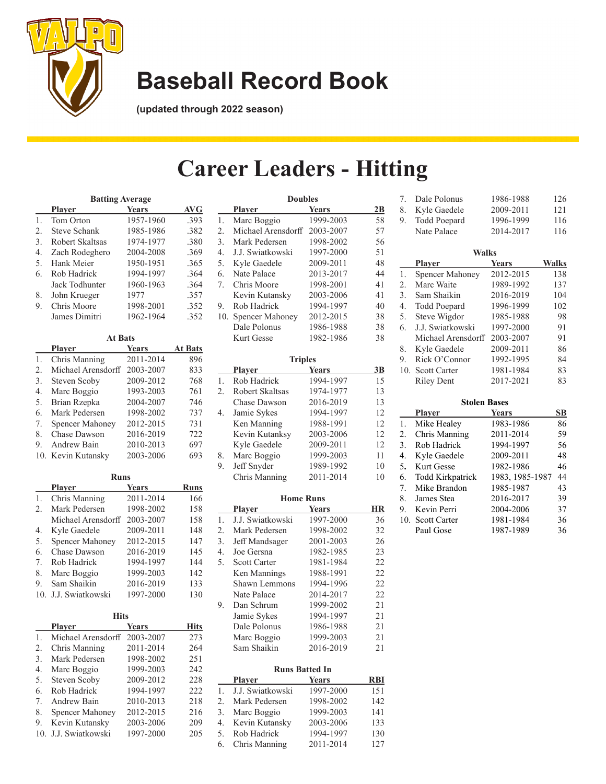

**(updated through 2022 season)**

### **Career Leaders - Hitting**

|                | <b>Batting Average</b>               |           |      |  |  |  |  |
|----------------|--------------------------------------|-----------|------|--|--|--|--|
|                | <b>AVG</b><br>Years<br><b>Player</b> |           |      |  |  |  |  |
| $\mathbf{1}$ . | Tom Orton                            | 1957-1960 | .393 |  |  |  |  |
| 2.             | <b>Steve Schank</b>                  | 1985-1986 | .382 |  |  |  |  |
| 3.             | Robert Skaltsas                      | 1974-1977 | .380 |  |  |  |  |
| 4.             | Zach Rodeghero                       | 2004-2008 | .369 |  |  |  |  |
| .5.            | Hank Meier                           | 1950-1951 | .365 |  |  |  |  |
| 6.             | Rob Hadrick                          | 1994-1997 | .364 |  |  |  |  |
|                | Jack Todhunter                       | 1960-1963 | .364 |  |  |  |  |
| 8.             | John Krueger                         | 1977      | .357 |  |  |  |  |
| 9.             | Chris Moore                          | 1998-2001 | .352 |  |  |  |  |
|                | James Dimitri                        | 1962-1964 | .352 |  |  |  |  |

| <b>At Bats</b>         |                    |                |  |  |  |  |
|------------------------|--------------------|----------------|--|--|--|--|
| <b>Player</b>          | <b>Years</b>       | <b>At Bats</b> |  |  |  |  |
| Chris Manning          | 2011-2014          | 896            |  |  |  |  |
| Michael Arensdorff     | 2003-2007          | 833            |  |  |  |  |
| Steven Scoby           | 2009-2012          | 768            |  |  |  |  |
| Marc Boggio            | 1993-2003          | 761            |  |  |  |  |
| Brian Rzepka           | 2004-2007          | 746            |  |  |  |  |
| Mark Pedersen          | 1998-2002          | 737            |  |  |  |  |
| <b>Spencer Mahoney</b> | 2012-2015          | 731            |  |  |  |  |
| Chase Dawson           | 2016-2019          | 722            |  |  |  |  |
| Andrew Bain            | 2010-2013          | 697            |  |  |  |  |
|                        | 2003-2006          | 693            |  |  |  |  |
|                        | 10. Kevin Kutansky |                |  |  |  |  |

|    | Runs                   |           |      |  |  |  |  |
|----|------------------------|-----------|------|--|--|--|--|
|    | <b>Player</b>          | Years     | Runs |  |  |  |  |
| 1. | Chris Manning          | 2011-2014 | 166  |  |  |  |  |
| 2. | Mark Pedersen          | 1998-2002 | 158  |  |  |  |  |
|    | Michael Arensdorff     | 2003-2007 | 158  |  |  |  |  |
| 4. | Kyle Gaedele           | 2009-2011 | 148  |  |  |  |  |
| 5. | <b>Spencer Mahoney</b> | 2012-2015 | 147  |  |  |  |  |
| 6. | Chase Dawson           | 2016-2019 | 145  |  |  |  |  |
| 7. | Rob Hadrick            | 1994-1997 | 144  |  |  |  |  |
| 8. | Marc Boggio            | 1999-2003 | 142  |  |  |  |  |
| 9. | Sam Shaikin            | 2016-2019 | 133  |  |  |  |  |
|    | 10. J.J. Swiatkowski   | 1997-2000 | 130  |  |  |  |  |

| Hits                   |                      |                    |  |  |  |  |  |
|------------------------|----------------------|--------------------|--|--|--|--|--|
| <b>Player</b>          | <b>Years</b>         | Hits               |  |  |  |  |  |
|                        | 2003-2007            | 273                |  |  |  |  |  |
| Chris Manning          | 2011-2014            | 264                |  |  |  |  |  |
| Mark Pedersen          | 1998-2002            | 251                |  |  |  |  |  |
| Marc Boggio            | 1999-2003            | 242                |  |  |  |  |  |
| Steven Scoby           | 2009-2012            | 228                |  |  |  |  |  |
| Rob Hadrick            | 1994-1997            | 222                |  |  |  |  |  |
| Andrew Bain            | 2010-2013            | 218                |  |  |  |  |  |
| <b>Spencer Mahoney</b> | 2012-2015            | 216                |  |  |  |  |  |
| Kevin Kutansky         | 2003-2006            | 209                |  |  |  |  |  |
|                        | 1997-2000            | 205                |  |  |  |  |  |
|                        | 10. J.J. Swiatkowski | Michael Arensdorff |  |  |  |  |  |

|    | <b>Doubles</b>               |              |    |  |  |  |
|----|------------------------------|--------------|----|--|--|--|
|    | <u>Player</u>                | <b>Years</b> | 2B |  |  |  |
| 1. | Marc Boggio                  | 1999-2003    | 58 |  |  |  |
| 2. | Michael Arensdorff 2003-2007 |              | 57 |  |  |  |
| 3. | Mark Pedersen                | 1998-2002    | 56 |  |  |  |
| 4. | J.J. Swiatkowski             | 1997-2000    | 51 |  |  |  |
| 5. | Kyle Gaedele                 | 2009-2011    | 48 |  |  |  |
| 6. | Nate Palace                  | 2013-2017    | 44 |  |  |  |
| 7. | Chris Moore                  | 1998-2001    | 41 |  |  |  |
|    | Kevin Kutansky               | 2003-2006    | 41 |  |  |  |
| 9. | Rob Hadrick                  | 1994-1997    | 40 |  |  |  |
|    | 10. Spencer Mahoney          | 2012-2015    | 38 |  |  |  |
|    | Dale Polonus                 | 1986-1988    | 38 |  |  |  |
|    | Kurt Gesse                   | 1982-1986    | 38 |  |  |  |
|    | <b>Triples</b>               |              |    |  |  |  |
|    | <b>Player</b>                | Years        | 3B |  |  |  |
| 1. | Rob Hadrick                  | 1994-1997    | 15 |  |  |  |
| 2. | Robert Skaltsas              | 1974-1977    | 13 |  |  |  |
|    | Chase Dawson                 | 2016-2019    | 13 |  |  |  |
| 4. | Jamie Sykes                  | 1994-1997    | 12 |  |  |  |
|    | Ken Manning                  | 1988-1991    | 12 |  |  |  |
|    | Kevin Kutanksy               | 2003-2006    | 12 |  |  |  |
|    | Kyle Gaedele                 | 2009-2011    | 12 |  |  |  |
| 8. | Marc Boggio                  | 1999-2003    | 11 |  |  |  |
| 9. | Jeff Snyder                  | 1989-1992    | 10 |  |  |  |

|    |                     | <b>Home Runs</b>      |    |
|----|---------------------|-----------------------|----|
|    | Player              | <b>Years</b>          | HR |
| 1. | J.J. Swiatkowski    | 1997-2000             | 36 |
| 2. | Mark Pedersen       | 1998-2002             | 32 |
| 3. | Jeff Mandsager      | 2001-2003             | 26 |
| 4. | Joe Gersna          | 1982-1985             | 23 |
| 5. | <b>Scott Carter</b> | 1981-1984             | 22 |
|    | Ken Mannings        | 1988-1991             | 22 |
|    | Shawn Lemmons       | 1994-1996             | 22 |
|    | Nate Palace         | 2014-2017             | 22 |
| 9. | Dan Schrum          | 1999-2002             | 21 |
|    | Jamie Sykes         | 1994-1997             | 21 |
|    | Dale Polonus        | 1986-1988             | 21 |
|    | Marc Boggio         | 1999-2003             | 21 |
|    | Sam Shaikin         | 2016-2019             | 21 |
|    |                     | <b>Runs Batted In</b> |    |

Chris Manning 2011-2014 10

|    | <b>Player</b>     | <b>Years</b> | RBI |
|----|-------------------|--------------|-----|
| 1. | J.J. Swiatkowski  | 1997-2000    | 151 |
| 2. | Mark Pedersen     | 1998-2002    | 142 |
|    | 3. Marc Boggio    | 1999-2003    | 141 |
|    | 4. Kevin Kutansky | 2003-2006    | 133 |
| 5. | Rob Hadrick       | 1994-1997    | 130 |
| 6. | Chris Manning     | 2011-2014    | 127 |

| 8.  | Kyle Gaedele            | 2009-2011       | 121          |
|-----|-------------------------|-----------------|--------------|
| 9.  | <b>Todd Poepard</b>     | 1996-1999       | 116          |
|     | Nate Palace             | 2014-2017       | 116          |
|     |                         |                 |              |
|     | Walks                   |                 |              |
|     | <b>Player</b>           | <b>Years</b>    | <b>Walks</b> |
| 1.  | Spencer Mahoney         | 2012-2015       | 138          |
| 2.  | Marc Waite              | 1989-1992       | 137          |
| 3.  | Sam Shaikin             | 2016-2019       | 104          |
| 4.  | Todd Poepard            | 1996-1999       | 102          |
| 5.  | Steve Wigdor            | 1985-1988       | 98           |
| 6.  | J.J. Swiatkowski        | 1997-2000       | 91           |
|     | Michael Arensdorff      | 2003-2007       | 91           |
| 8.  | Kyle Gaedele            | 2009-2011       | 86           |
| 9.  | Rick O'Connor           | 1992-1995       | 84           |
| 10. | <b>Scott Carter</b>     | 1981-1984       | 83           |
|     | <b>Riley Dent</b>       | 2017-2021       | 83           |
|     |                         |                 |              |
|     | <b>Stolen Bases</b>     |                 |              |
|     | <b>Player</b>           | <b>Years</b>    | SB           |
| 1.  | Mike Healey             | 1983-1986       | 86           |
| 2.  | Chris Manning           | 2011-2014       | 59           |
| 3.  | Rob Hadrick             | 1994-1997       | 56           |
| 4.  | Kyle Gaedele            | 2009-2011       | 48           |
| 5.  | <b>Kurt Gesse</b>       | 1982-1986       | 46           |
| 6.  | <b>Todd Kirkpatrick</b> | 1983, 1985-1987 | 44           |
| 7.  | Mike Brandon            | 1985-1987       | 43           |
| 8.  | James Stea              | 2016-2017       | 39           |
| 9.  | Kevin Perri             | 2004-2006       | 37           |
| 10. | <b>Scott Carter</b>     | 1981-1984       | 36           |
|     | Paul Gose               | 1987-1989       | 36           |

7. Dale Polonus 1986-1988 126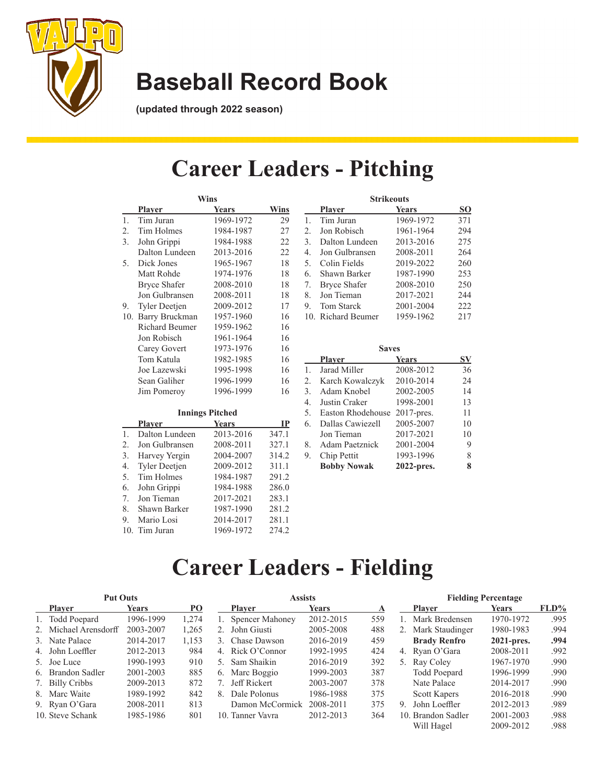

**(updated through 2022 season)**

### **Career Leaders - Pitching**

|                  | Wins                          |                        |             |  |  |  |
|------------------|-------------------------------|------------------------|-------------|--|--|--|
|                  | <b>Player</b>                 | <b>Years</b>           | Wins        |  |  |  |
| $\mathbf{1}$ .   | Tim Juran                     | 1969-1972              | 29          |  |  |  |
| 2.               | Tim Holmes                    | 1984-1987              | 27          |  |  |  |
| 3.               | John Grippi                   | 1984-1988              | 22          |  |  |  |
|                  | Dalton Lundeen                | 2013-2016              | 22          |  |  |  |
| 5.               | Dick Jones                    | 1965-1967              | 18          |  |  |  |
|                  | Matt Rohde                    | 1974-1976              | 18          |  |  |  |
|                  | <b>Bryce Shafer</b>           | 2008-2010              | 18          |  |  |  |
|                  | Jon Gulbransen                | 2008-2011              | 18          |  |  |  |
| 9.               | Tyler Deetjen                 | 2009-2012              | 17          |  |  |  |
|                  | 10. Barry Bruckman            | 1957-1960              | 16          |  |  |  |
|                  | Richard Beumer                | 1959-1962              | 16          |  |  |  |
|                  | Jon Robisch                   | 1961-1964              | 16          |  |  |  |
|                  | Carey Govert                  | 1973-1976              | 16          |  |  |  |
|                  | Tom Katula                    | 1982-1985              | 16          |  |  |  |
|                  | Joe Lazewski                  | 1995-1998              | 16          |  |  |  |
|                  | Sean Galiher                  | 1996-1999              | 16          |  |  |  |
|                  | Jim Pomeroy                   | 1996-1999              | 16          |  |  |  |
|                  |                               | <b>Innings Pitched</b> |             |  |  |  |
|                  | <b>Player</b><br><u>Sears</u> |                        | $_{\rm IP}$ |  |  |  |
| 1.               | Dalton Lundeen                | 2013-2016              | 347.1       |  |  |  |
| 2.               | Jon Gulbransen                | 2008-2011              | 327.1       |  |  |  |
| 3.               | Harvey Yergin                 | 2004-2007              | 314.2       |  |  |  |
| $\overline{4}$ . | Tyler Deetjen                 | 2009-2012              | 311.1       |  |  |  |
| 5.               | Tim Holmes                    | 1984-1987              | 291.2       |  |  |  |

6. John Grippi 1984-1988 286.0 7. Jon Tieman 2017-2021 283.1 8. Shawn Barker 1987-1990 281.2 9. Mario Losi 2014-2017 281.1 10. Tim Juran 1969-1972 274.2

|   |    | <b>Strikeouts</b>   |           |     |  |  |
|---|----|---------------------|-----------|-----|--|--|
|   |    | <b>Player</b>       | Years     | SO. |  |  |
|   | 1. | Tim Juran           | 1969-1972 | 371 |  |  |
|   | 2. | Jon Robisch         | 1961-1964 | 294 |  |  |
|   | 3. | Dalton Lundeen      | 2013-2016 | 275 |  |  |
| 2 | 4. | Jon Gulbransen      | 2008-2011 | 264 |  |  |
|   | 5. | Colin Fields        | 2019-2022 | 260 |  |  |
|   | 6. | Shawn Barker        | 1987-1990 | 253 |  |  |
|   | 7. | <b>Bryce Shafer</b> | 2008-2010 | 250 |  |  |
|   | 8. | Jon Tieman          | 2017-2021 | 244 |  |  |
|   |    | Tom Starck          | 2001-2004 | 222 |  |  |
|   |    | 10. Richard Beumer  | 1959-1962 | 217 |  |  |
|   |    |                     |           |     |  |  |

|    | <b>Saves</b>                 |            |    |  |  |  |  |
|----|------------------------------|------------|----|--|--|--|--|
|    | <b>Player</b>                | Years      | SV |  |  |  |  |
| 1. | Jarad Miller                 | 2008-2012  | 36 |  |  |  |  |
| 2. | Karch Kowalczyk              | 2010-2014  | 24 |  |  |  |  |
| 3. | Adam Knobel                  | 2002-2005  | 14 |  |  |  |  |
| 4. | Justin Craker                | 1998-2001  | 13 |  |  |  |  |
| 5. | Easton Rhodehouse 2017-pres. |            | 11 |  |  |  |  |
| 6. | Dallas Cawiezell             | 2005-2007  | 10 |  |  |  |  |
|    | Jon Tieman                   | 2017-2021  | 10 |  |  |  |  |
| 8. | Adam Paetznick               | 2001-2004  | 9  |  |  |  |  |
| 9. | Chip Pettit                  | 1993-1996  | 8  |  |  |  |  |
|    | <b>Bobby Nowak</b>           | 2022-pres. | 8  |  |  |  |  |

Will Hagel 2009-2012 .988

### **Career Leaders - Fielding**

| <b>Put Outs</b> |                       |              | <b>Assists</b> |                                 |              | <b>Fielding Percentage</b> |                     |               |      |
|-----------------|-----------------------|--------------|----------------|---------------------------------|--------------|----------------------------|---------------------|---------------|------|
|                 | <b>Player</b>         | <b>Years</b> | PO             | <b>Player</b>                   | <b>Years</b> |                            | <b>Player</b>       | Years         | FLD% |
|                 | 1. Todd Poepard       | 1996-1999    | 1,274          | <b>Spencer Mahoney</b>          | 2012-2015    | 559                        | 1. Mark Bredensen   | 1970-1972     | .995 |
|                 | 2. Michael Arensdorff | 2003-2007    | 1,265          | John Giusti<br>2.               | 2005-2008    | 488                        | 2. Mark Staudinger  | 1980-1983     | .994 |
|                 | 3. Nate Palace        | 2014-2017    | 1,153          | Chase Dawson<br>3.              | 2016-2019    | 459                        | <b>Brady Renfro</b> | $2021$ -pres. | .994 |
|                 | 4. John Loeffler      | 2012-2013    | 984            | Rick O'Connor<br>4 <sub>1</sub> | 1992-1995    | 424                        | 4. Ryan O'Gara      | 2008-2011     | .992 |
|                 | 5. Joe Luce           | 1990-1993    | 910            | Sam Shaikin<br>                 | 2016-2019    | 392                        | 5. Ray Coley        | 1967-1970     | .990 |
|                 | 6. Brandon Sadler     | 2001-2003    | 885            | Marc Boggio<br>6.               | 1999-2003    | 387                        | Todd Poepard        | 1996-1999     | .990 |
|                 | 7. Billy Cribbs       | 2009-2013    | 872            | Jeff Rickert                    | 2003-2007    | 378                        | Nate Palace         | 2014-2017     | .990 |
|                 | 8. Marc Waite         | 1989-1992    | 842            | Dale Polonus<br>8.              | 1986-1988    | 375                        | <b>Scott Kapers</b> | 2016-2018     | .990 |
|                 | 9. Ryan O'Gara        | 2008-2011    | 813            | Damon McCormick                 | 2008-2011    | 375                        | John Loeffler<br>9  | 2012-2013     | .989 |
|                 | 10. Steve Schank      | 1985-1986    | 801            | 10. Tanner Vavra                | 2012-2013    | 364                        | 10. Brandon Sadler  | 2001-2003     | .988 |